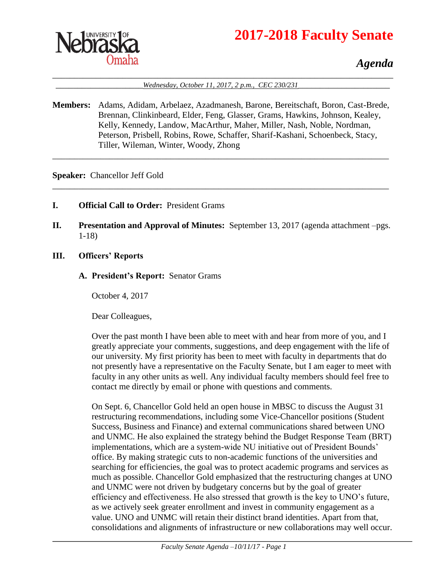



# *Agenda*

\_\_\_\_\_\_\_\_\_\_\_\_\_\_\_\_\_\_\_\_\_\_\_\_\_\_\_\_\_\_\_\_\_\_\_\_\_\_\_\_\_\_\_\_\_\_\_\_\_\_\_\_\_\_\_\_\_\_\_\_\_\_\_\_\_\_\_\_\_\_\_\_\_\_\_\_\_\_ \_\_\_\_\_\_\_\_\_\_\_\_\_\_\_\_\_\_\_\_*Wednesday, October 11, 2017, 2 p.m., CEC 230/231*\_\_\_\_\_\_\_\_\_\_\_\_\_\_\_\_\_\_\_\_\_

**Members:** Adams, Adidam, Arbelaez, Azadmanesh, Barone, Bereitschaft, Boron, Cast-Brede, Brennan, Clinkinbeard, Elder, Feng, Glasser, Grams, Hawkins, Johnson, Kealey, Kelly, Kennedy, Landow, MacArthur, Maher, Miller, Nash, Noble, Nordman, Peterson, Prisbell, Robins, Rowe, Schaffer, Sharif-Kashani, Schoenbeck, Stacy, Tiller, Wileman, Winter, Woody, Zhong

\_\_\_\_\_\_\_\_\_\_\_\_\_\_\_\_\_\_\_\_\_\_\_\_\_\_\_\_\_\_\_\_\_\_\_\_\_\_\_\_\_\_\_\_\_\_\_\_\_\_\_\_\_\_\_\_\_\_\_\_\_\_\_\_\_\_\_\_\_\_\_\_\_\_\_\_\_

\_\_\_\_\_\_\_\_\_\_\_\_\_\_\_\_\_\_\_\_\_\_\_\_\_\_\_\_\_\_\_\_\_\_\_\_\_\_\_\_\_\_\_\_\_\_\_\_\_\_\_\_\_\_\_\_\_\_\_\_\_\_\_\_\_\_\_\_\_\_\_\_\_\_\_\_\_

**Speaker:** Chancellor Jeff Gold

- **I. Official Call to Order:** President Grams
- **II. Presentation and Approval of Minutes:** September 13, 2017 (agenda attachment –pgs. 1-18)
- **III. Officers' Reports**
	- **A. President's Report:** Senator Grams

October 4, 2017

Dear Colleagues,

Over the past month I have been able to meet with and hear from more of you, and I greatly appreciate your comments, suggestions, and deep engagement with the life of our university. My first priority has been to meet with faculty in departments that do not presently have a representative on the Faculty Senate, but I am eager to meet with faculty in any other units as well. Any individual faculty members should feel free to contact me directly by email or phone with questions and comments.

On Sept. 6, Chancellor Gold held an open house in MBSC to discuss the August 31 restructuring recommendations, including some Vice-Chancellor positions (Student Success, Business and Finance) and external communications shared between UNO and UNMC. He also explained the strategy behind the Budget Response Team (BRT) implementations, which are a system-wide NU initiative out of President Bounds' office. By making strategic cuts to non-academic functions of the universities and searching for efficiencies, the goal was to protect academic programs and services as much as possible. Chancellor Gold emphasized that the restructuring changes at UNO and UNMC were not driven by budgetary concerns but by the goal of greater efficiency and effectiveness. He also stressed that growth is the key to UNO's future, as we actively seek greater enrollment and invest in community engagement as a value. UNO and UNMC will retain their distinct brand identities. Apart from that, consolidations and alignments of infrastructure or new collaborations may well occur.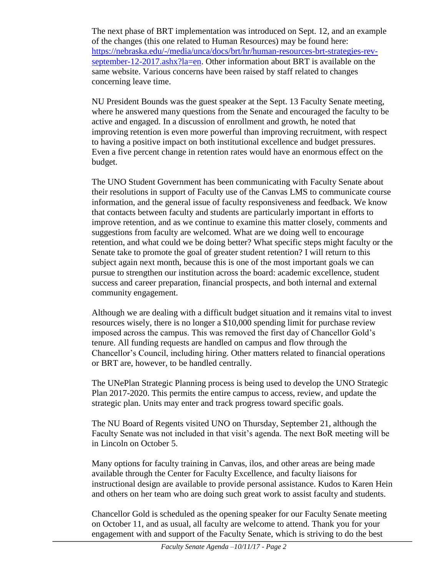The next phase of BRT implementation was introduced on Sept. 12, and an example of the changes (this one related to Human Resources) may be found here: [https://nebraska.edu/-/media/unca/docs/brt/hr/human-resources-brt-strategies-rev](https://nebraska.edu/-/media/unca/docs/brt/hr/human-resources-brt-strategies-rev-september-12-2017.ashx?la=en)[september-12-2017.ashx?la=en.](https://nebraska.edu/-/media/unca/docs/brt/hr/human-resources-brt-strategies-rev-september-12-2017.ashx?la=en) Other information about BRT is available on the same website. Various concerns have been raised by staff related to changes concerning leave time.

NU President Bounds was the guest speaker at the Sept. 13 Faculty Senate meeting, where he answered many questions from the Senate and encouraged the faculty to be active and engaged. In a discussion of enrollment and growth, he noted that improving retention is even more powerful than improving recruitment, with respect to having a positive impact on both institutional excellence and budget pressures. Even a five percent change in retention rates would have an enormous effect on the budget.

The UNO Student Government has been communicating with Faculty Senate about their resolutions in support of Faculty use of the Canvas LMS to communicate course information, and the general issue of faculty responsiveness and feedback. We know that contacts between faculty and students are particularly important in efforts to improve retention, and as we continue to examine this matter closely, comments and suggestions from faculty are welcomed. What are we doing well to encourage retention, and what could we be doing better? What specific steps might faculty or the Senate take to promote the goal of greater student retention? I will return to this subject again next month, because this is one of the most important goals we can pursue to strengthen our institution across the board: academic excellence, student success and career preparation, financial prospects, and both internal and external community engagement.

Although we are dealing with a difficult budget situation and it remains vital to invest resources wisely, there is no longer a \$10,000 spending limit for purchase review imposed across the campus. This was removed the first day of Chancellor Gold's tenure. All funding requests are handled on campus and flow through the Chancellor's Council, including hiring. Other matters related to financial operations or BRT are, however, to be handled centrally.

The UNePlan Strategic Planning process is being used to develop the UNO Strategic Plan 2017-2020. This permits the entire campus to access, review, and update the strategic plan. Units may enter and track progress toward specific goals.

The NU Board of Regents visited UNO on Thursday, September 21, although the Faculty Senate was not included in that visit's agenda. The next BoR meeting will be in Lincoln on October 5.

Many options for faculty training in Canvas, ilos, and other areas are being made available through the Center for Faculty Excellence, and faculty liaisons for instructional design are available to provide personal assistance. Kudos to Karen Hein and others on her team who are doing such great work to assist faculty and students.

Chancellor Gold is scheduled as the opening speaker for our Faculty Senate meeting on October 11, and as usual, all faculty are welcome to attend. Thank you for your engagement with and support of the Faculty Senate, which is striving to do the best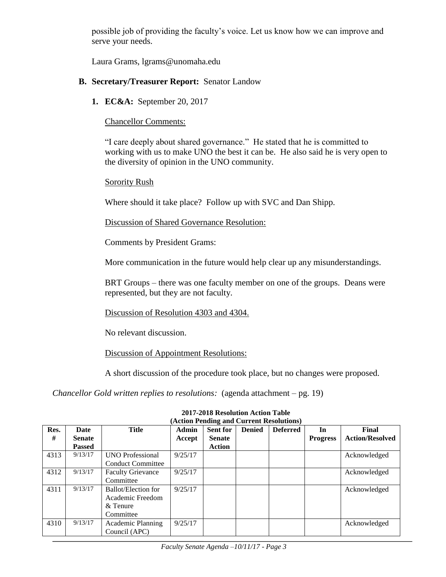possible job of providing the faculty's voice. Let us know how we can improve and serve your needs.

Laura Grams, lgrams@unomaha.edu

# **B. Secretary/Treasurer Report:** Senator Landow

**1. EC&A:** September 20, 2017

Chancellor Comments:

"I care deeply about shared governance." He stated that he is committed to working with us to make UNO the best it can be. He also said he is very open to the diversity of opinion in the UNO community.

Sorority Rush

Where should it take place? Follow up with SVC and Dan Shipp.

Discussion of Shared Governance Resolution:

Comments by President Grams:

More communication in the future would help clear up any misunderstandings.

BRT Groups – there was one faculty member on one of the groups. Deans were represented, but they are not faculty.

Discussion of Resolution 4303 and 4304.

No relevant discussion.

Discussion of Appointment Resolutions:

A short discussion of the procedure took place, but no changes were proposed.

*Chancellor Gold written replies to resolutions:* (agenda attachment – pg. 19)

| (Action Pending and Current Resolutions) |               |                          |              |                 |               |                 |                 |                        |
|------------------------------------------|---------------|--------------------------|--------------|-----------------|---------------|-----------------|-----------------|------------------------|
| Res.                                     | Date          | Title                    | <b>Admin</b> | <b>Sent for</b> | <b>Denied</b> | <b>Deferred</b> | In              | Final                  |
| #                                        | <b>Senate</b> |                          | Accept       | <b>Senate</b>   |               |                 | <b>Progress</b> | <b>Action/Resolved</b> |
|                                          | <b>Passed</b> |                          |              | Action          |               |                 |                 |                        |
| 4313                                     | 9/13/17       | <b>UNO Professional</b>  | 9/25/17      |                 |               |                 |                 | Acknowledged           |
|                                          |               | <b>Conduct Committee</b> |              |                 |               |                 |                 |                        |
| 4312                                     | 9/13/17       | <b>Faculty Grievance</b> | 9/25/17      |                 |               |                 |                 | Acknowledged           |
|                                          |               | Committee                |              |                 |               |                 |                 |                        |
| 4311                                     | 9/13/17       | Ballot/Election for      | 9/25/17      |                 |               |                 |                 | Acknowledged           |
|                                          |               | Academic Freedom         |              |                 |               |                 |                 |                        |
|                                          |               | & Tenure                 |              |                 |               |                 |                 |                        |
|                                          |               | Committee                |              |                 |               |                 |                 |                        |
| 4310                                     | 9/13/17       | Academic Planning        | 9/25/17      |                 |               |                 |                 | Acknowledged           |
|                                          |               | Council (APC)            |              |                 |               |                 |                 |                        |

# **2017-2018 Resolution Action Table**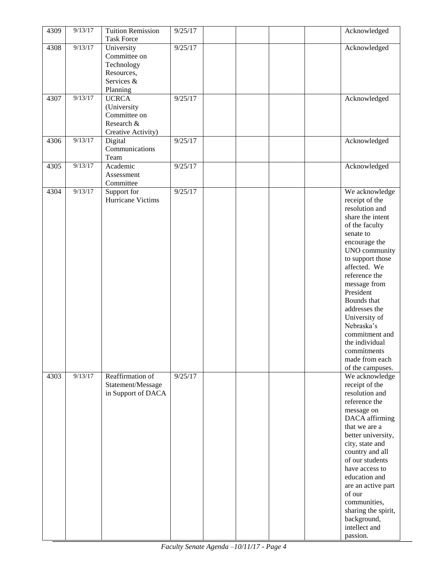| 4309 | 9/13/17 | <b>Tuition Remission</b><br><b>Task Force</b>                                   | 9/25/17 |  |  | Acknowledged                                                                                                                                                                                                                                                                                                                                                                      |
|------|---------|---------------------------------------------------------------------------------|---------|--|--|-----------------------------------------------------------------------------------------------------------------------------------------------------------------------------------------------------------------------------------------------------------------------------------------------------------------------------------------------------------------------------------|
| 4308 | 9/13/17 | University<br>Committee on<br>Technology<br>Resources,                          | 9/25/17 |  |  | Acknowledged                                                                                                                                                                                                                                                                                                                                                                      |
|      |         | Services &<br>Planning                                                          |         |  |  |                                                                                                                                                                                                                                                                                                                                                                                   |
| 4307 | 9/13/17 | <b>UCRCA</b><br>(University<br>Committee on<br>Research &<br>Creative Activity) | 9/25/17 |  |  | Acknowledged                                                                                                                                                                                                                                                                                                                                                                      |
| 4306 | 9/13/17 | Digital<br>Communications<br>Team                                               | 9/25/17 |  |  | Acknowledged                                                                                                                                                                                                                                                                                                                                                                      |
| 4305 | 9/13/17 | Academic<br>Assessment<br>Committee                                             | 9/25/17 |  |  | Acknowledged                                                                                                                                                                                                                                                                                                                                                                      |
| 4304 | 9/13/17 | Support for<br>Hurricane Victims                                                | 9/25/17 |  |  | We acknowledge<br>receipt of the<br>resolution and<br>share the intent<br>of the faculty<br>senate to<br>encourage the<br>UNO community<br>to support those<br>affected. We<br>reference the<br>message from<br>President<br>Bounds that<br>addresses the<br>University of<br>Nebraska's<br>commitment and<br>the individual<br>commitments<br>made from each<br>of the campuses. |
| 4303 | 9/13/17 | Reaffirmation of<br>Statement/Message<br>in Support of DACA                     | 9/25/17 |  |  | We acknowledge<br>receipt of the<br>resolution and<br>reference the<br>message on<br>DACA affirming<br>that we are a<br>better university,<br>city, state and<br>country and all<br>of our students<br>have access to<br>education and<br>are an active part<br>of our<br>communities,<br>sharing the spirit,<br>background,<br>intellect and<br>passion.                         |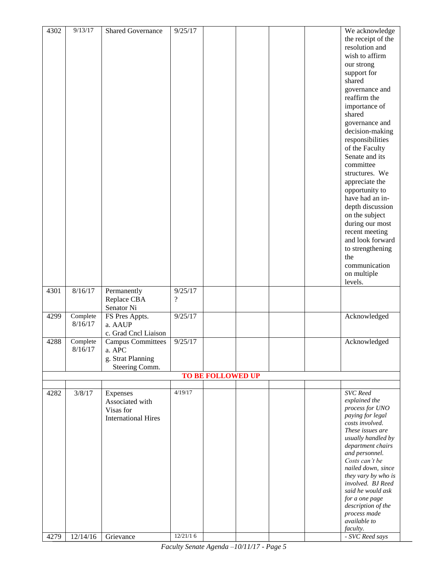| 4302 | 9/13/17             | <b>Shared Governance</b>   | 9/25/17  |                          |  | We acknowledge                         |
|------|---------------------|----------------------------|----------|--------------------------|--|----------------------------------------|
|      |                     |                            |          |                          |  | the receipt of the                     |
|      |                     |                            |          |                          |  | resolution and                         |
|      |                     |                            |          |                          |  | wish to affirm                         |
|      |                     |                            |          |                          |  | our strong                             |
|      |                     |                            |          |                          |  | support for                            |
|      |                     |                            |          |                          |  | shared                                 |
|      |                     |                            |          |                          |  | governance and                         |
|      |                     |                            |          |                          |  | reaffirm the                           |
|      |                     |                            |          |                          |  | importance of<br>shared                |
|      |                     |                            |          |                          |  |                                        |
|      |                     |                            |          |                          |  | governance and<br>decision-making      |
|      |                     |                            |          |                          |  | responsibilities                       |
|      |                     |                            |          |                          |  | of the Faculty                         |
|      |                     |                            |          |                          |  | Senate and its                         |
|      |                     |                            |          |                          |  | committee                              |
|      |                     |                            |          |                          |  | structures. We                         |
|      |                     |                            |          |                          |  | appreciate the                         |
|      |                     |                            |          |                          |  | opportunity to                         |
|      |                     |                            |          |                          |  | have had an in-                        |
|      |                     |                            |          |                          |  | depth discussion                       |
|      |                     |                            |          |                          |  | on the subject                         |
|      |                     |                            |          |                          |  | during our most<br>recent meeting      |
|      |                     |                            |          |                          |  | and look forward                       |
|      |                     |                            |          |                          |  | to strengthening                       |
|      |                     |                            |          |                          |  | the                                    |
|      |                     |                            |          |                          |  | communication                          |
|      |                     |                            |          |                          |  | on multiple                            |
|      |                     |                            |          |                          |  | levels.                                |
| 4301 | 8/16/17             | Permanently                | 9/25/17  |                          |  |                                        |
|      |                     | Replace CBA                | $\gamma$ |                          |  |                                        |
|      |                     | Senator Ni                 |          |                          |  |                                        |
| 4299 | Complete<br>8/16/17 | FS Pres Appts.<br>a. AAUP  | 9/25/17  |                          |  | Acknowledged                           |
|      |                     | c. Grad Cncl Liaison       |          |                          |  |                                        |
| 4288 | Complete            | <b>Campus Committees</b>   | 9/25/17  |                          |  | Acknowledged                           |
|      | 8/16/17             | a. APC                     |          |                          |  |                                        |
|      |                     | g. Strat Planning          |          |                          |  |                                        |
|      |                     | Steering Comm.             |          |                          |  |                                        |
|      |                     |                            |          | <b>TO BE FOLLOWED UP</b> |  |                                        |
|      |                     |                            |          |                          |  |                                        |
| 4282 | 3/8/17              | Expenses                   | 4/19/17  |                          |  | <b>SVC</b> Reed                        |
|      |                     | Associated with            |          |                          |  | explained the<br>process for UNO       |
|      |                     | Visas for                  |          |                          |  | paying for legal                       |
|      |                     | <b>International Hires</b> |          |                          |  | costs involved.                        |
|      |                     |                            |          |                          |  | These issues are                       |
|      |                     |                            |          |                          |  | usually handled by                     |
|      |                     |                            |          |                          |  | department chairs<br>and personnel.    |
|      |                     |                            |          |                          |  | Costs can't be                         |
|      |                     |                            |          |                          |  | nailed down, since                     |
|      |                     |                            |          |                          |  | they vary by who is                    |
|      |                     |                            |          |                          |  | involved. BJ Reed<br>said he would ask |
|      |                     |                            |          |                          |  | for a one page                         |
|      |                     |                            |          |                          |  | description of the                     |
|      |                     |                            |          |                          |  | process made                           |
|      |                     |                            |          |                          |  | available to                           |
|      |                     |                            | 12/21/16 |                          |  | faculty.<br>- SVC Reed says            |
| 4279 | 12/14/16            | Grievance                  |          |                          |  |                                        |

*Faculty Senate Agenda –10/11/17 - Page 5*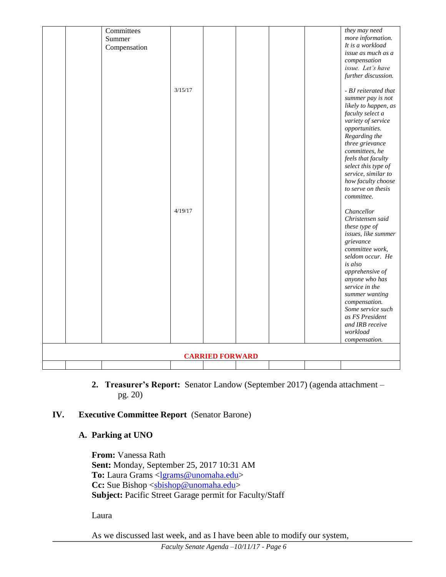|                        |  | Committees   |         |  |  |  |  | they may need                      |
|------------------------|--|--------------|---------|--|--|--|--|------------------------------------|
|                        |  | Summer       |         |  |  |  |  | more information.                  |
|                        |  | Compensation |         |  |  |  |  | It is a workload                   |
|                        |  |              |         |  |  |  |  | issue as much as a                 |
|                        |  |              |         |  |  |  |  | compensation                       |
|                        |  |              |         |  |  |  |  | issue. Let's have                  |
|                        |  |              |         |  |  |  |  | further discussion.                |
|                        |  |              | 3/15/17 |  |  |  |  | - BJ reiterated that               |
|                        |  |              |         |  |  |  |  | summer pay is not                  |
|                        |  |              |         |  |  |  |  | likely to happen, as               |
|                        |  |              |         |  |  |  |  | faculty select a                   |
|                        |  |              |         |  |  |  |  | variety of service                 |
|                        |  |              |         |  |  |  |  | opportunities.                     |
|                        |  |              |         |  |  |  |  | Regarding the                      |
|                        |  |              |         |  |  |  |  | three grievance                    |
|                        |  |              |         |  |  |  |  | committees, he                     |
|                        |  |              |         |  |  |  |  | feels that faculty                 |
|                        |  |              |         |  |  |  |  | select this type of                |
|                        |  |              |         |  |  |  |  | service, similar to                |
|                        |  |              |         |  |  |  |  | how faculty choose                 |
|                        |  |              |         |  |  |  |  | to serve on thesis                 |
|                        |  |              |         |  |  |  |  | committee.                         |
|                        |  |              | 4/19/17 |  |  |  |  | Chancellor                         |
|                        |  |              |         |  |  |  |  | Christensen said                   |
|                        |  |              |         |  |  |  |  | these type of                      |
|                        |  |              |         |  |  |  |  | issues, like summer                |
|                        |  |              |         |  |  |  |  | grievance                          |
|                        |  |              |         |  |  |  |  | committee work,                    |
|                        |  |              |         |  |  |  |  | seldom occur. He                   |
|                        |  |              |         |  |  |  |  | is also                            |
|                        |  |              |         |  |  |  |  | apprehensive of                    |
|                        |  |              |         |  |  |  |  | anyone who has                     |
|                        |  |              |         |  |  |  |  | service in the                     |
|                        |  |              |         |  |  |  |  | summer wanting                     |
|                        |  |              |         |  |  |  |  | compensation.<br>Some service such |
|                        |  |              |         |  |  |  |  | as FS President                    |
|                        |  |              |         |  |  |  |  | and IRB receive                    |
|                        |  |              |         |  |  |  |  | workload                           |
|                        |  |              |         |  |  |  |  | compensation.                      |
|                        |  |              |         |  |  |  |  |                                    |
| <b>CARRIED FORWARD</b> |  |              |         |  |  |  |  |                                    |
|                        |  |              |         |  |  |  |  |                                    |

**2. Treasurer's Report:** Senator Landow (September 2017) (agenda attachment – pg. 20)

# **IV. Executive Committee Report** (Senator Barone)

# **A. Parking at UNO**

**From:** Vanessa Rath **Sent:** Monday, September 25, 2017 10:31 AM To: Laura Grams [<lgrams@unomaha.edu>](mailto:lgrams@unomaha.edu) **Cc:** Sue Bishop [<sbishop@unomaha.edu>](mailto:sbishop@unomaha.edu) **Subject:** Pacific Street Garage permit for Faculty/Staff

Laura

As we discussed last week, and as I have been able to modify our system,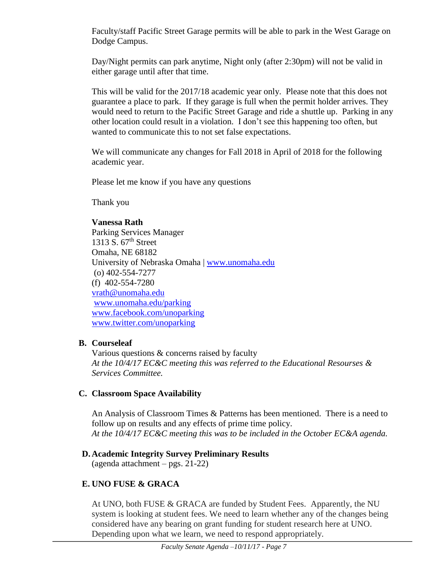Faculty/staff Pacific Street Garage permits will be able to park in the West Garage on Dodge Campus.

Day/Night permits can park anytime, Night only (after 2:30pm) will not be valid in either garage until after that time.

This will be valid for the 2017/18 academic year only. Please note that this does not guarantee a place to park. If they garage is full when the permit holder arrives. They would need to return to the Pacific Street Garage and ride a shuttle up. Parking in any other location could result in a violation. I don't see this happening too often, but wanted to communicate this to not set false expectations.

We will communicate any changes for Fall 2018 in April of 2018 for the following academic year.

Please let me know if you have any questions

Thank you

### **Vanessa Rath**

Parking Services Manager 1313 S.  $67<sup>th</sup>$  Street Omaha, NE 68182 University of Nebraska Omaha | [www.unomaha.edu](http://www.unomaha.edu/) (o) 402-554-7277 (f) 402-554-7280 [vrath@unomaha.edu](mailto:vrath@unomaha.edu) [www.unomaha.edu/parking](http://www.unomaha.edu/parking) [www.facebook.com/unoparking](http://www.facebook.com/unoparking) [www.twitter.com/unoparking](http://www.twitter.com/unoparking)

# **B. Courseleaf**

Various questions & concerns raised by faculty *At the 10/4/17 EC&C meeting this was referred to the Educational Resourses & Services Committee.*

# **C. Classroom Space Availability**

An Analysis of Classroom Times & Patterns has been mentioned. There is a need to follow up on results and any effects of prime time policy. *At the 10/4/17 EC&C meeting this was to be included in the October EC&A agenda.*

# **D. Academic Integrity Survey Preliminary Results**

(agenda attachment – pgs. 21-22)

# **E. UNO FUSE & GRACA**

At UNO, both FUSE & GRACA are funded by Student Fees. Apparently, the NU system is looking at student fees. We need to learn whether any of the changes being considered have any bearing on grant funding for student research here at UNO. Depending upon what we learn, we need to respond appropriately.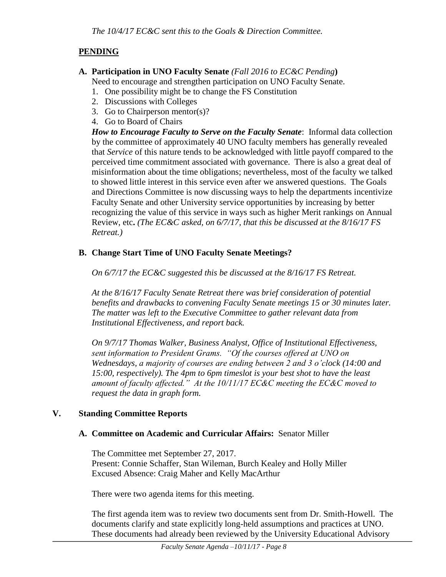# **PENDING**

- **A. Participation in UNO Faculty Senate** *(Fall 2016 to EC&C Pending***)** 
	- Need to encourage and strengthen participation on UNO Faculty Senate.
	- 1. One possibility might be to change the FS Constitution
	- 2. Discussions with Colleges
	- 3. Go to Chairperson mentor(s)?
	- 4. Go to Board of Chairs

*How to Encourage Faculty to Serve on the Faculty Senate*: Informal data collection by the committee of approximately 40 UNO faculty members has generally revealed that *Service* of this nature tends to be acknowledged with little payoff compared to the perceived time commitment associated with governance. There is also a great deal of misinformation about the time obligations; nevertheless, most of the faculty we talked to showed little interest in this service even after we answered questions. The Goals and Directions Committee is now discussing ways to help the departments incentivize Faculty Senate and other University service opportunities by increasing by better recognizing the value of this service in ways such as higher Merit rankings on Annual Review, etc**.** *(The EC&C asked, on 6/7/17, that this be discussed at the 8/16/17 FS Retreat.)*

# **B. Change Start Time of UNO Faculty Senate Meetings?**

*On 6/7/17 the EC&C suggested this be discussed at the 8/16/17 FS Retreat.*

*At the 8/16/17 Faculty Senate Retreat there was brief consideration of potential benefits and drawbacks to convening Faculty Senate meetings 15 or 30 minutes later. The matter was left to the Executive Committee to gather relevant data from Institutional Effectiveness, and report back.*

*On 9/7/17 Thomas Walker, Business Analyst, Office of Institutional Effectiveness, sent information to President Grams. "Of the courses offered at UNO on Wednesdays, a majority of courses are ending between 2 and 3 o'clock (14:00 and 15:00, respectively). The 4pm to 6pm timeslot is your best shot to have the least amount of faculty affected." At the 10/11/17 EC&C meeting the EC&C moved to request the data in graph form.*

# **V. Standing Committee Reports**

# **A. Committee on Academic and Curricular Affairs:** Senator Miller

The Committee met September 27, 2017. Present: Connie Schaffer, Stan Wileman, Burch Kealey and Holly Miller Excused Absence: Craig Maher and Kelly MacArthur

There were two agenda items for this meeting.

The first agenda item was to review two documents sent from Dr. Smith-Howell. The documents clarify and state explicitly long-held assumptions and practices at UNO. These documents had already been reviewed by the University Educational Advisory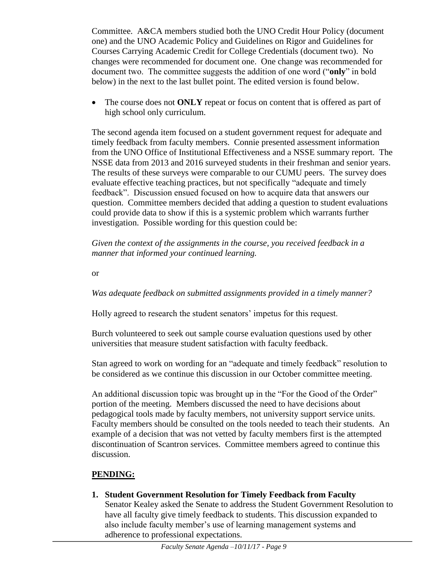Committee. A&CA members studied both the UNO Credit Hour Policy (document one) and the UNO Academic Policy and Guidelines on Rigor and Guidelines for Courses Carrying Academic Credit for College Credentials (document two). No changes were recommended for document one. One change was recommended for document two. The committee suggests the addition of one word ("**only**" in bold below) in the next to the last bullet point. The edited version is found below.

 The course does not **ONLY** repeat or focus on content that is offered as part of high school only curriculum.

The second agenda item focused on a student government request for adequate and timely feedback from faculty members. Connie presented assessment information from the UNO Office of Institutional Effectiveness and a NSSE summary report. The NSSE data from 2013 and 2016 surveyed students in their freshman and senior years. The results of these surveys were comparable to our CUMU peers. The survey does evaluate effective teaching practices, but not specifically "adequate and timely feedback". Discussion ensued focused on how to acquire data that answers our question. Committee members decided that adding a question to student evaluations could provide data to show if this is a systemic problem which warrants further investigation. Possible wording for this question could be:

*Given the context of the assignments in the course, you received feedback in a manner that informed your continued learning.*

or

*Was adequate feedback on submitted assignments provided in a timely manner?*

Holly agreed to research the student senators' impetus for this request.

Burch volunteered to seek out sample course evaluation questions used by other universities that measure student satisfaction with faculty feedback.

Stan agreed to work on wording for an "adequate and timely feedback" resolution to be considered as we continue this discussion in our October committee meeting.

An additional discussion topic was brought up in the "For the Good of the Order" portion of the meeting. Members discussed the need to have decisions about pedagogical tools made by faculty members, not university support service units. Faculty members should be consulted on the tools needed to teach their students. An example of a decision that was not vetted by faculty members first is the attempted discontinuation of Scantron services. Committee members agreed to continue this discussion.

# **PENDING:**

**1. Student Government Resolution for Timely Feedback from Faculty** Senator Kealey asked the Senate to address the Student Government Resolution to have all faculty give timely feedback to students. This discussion expanded to also include faculty member's use of learning management systems and adherence to professional expectations.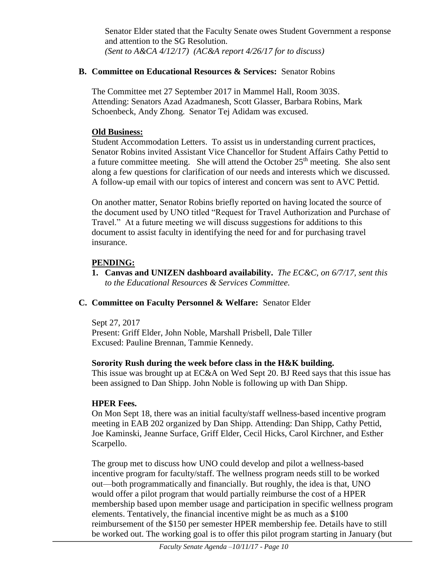Senator Elder stated that the Faculty Senate owes Student Government a response and attention to the SG Resolution. *(Sent to A&CA 4/12/17) (AC&A report 4/26/17 for to discuss)*

#### **B. Committee on Educational Resources & Services:** Senator Robins

The Committee met 27 September 2017 in Mammel Hall, Room 303S. Attending: Senators Azad Azadmanesh, Scott Glasser, Barbara Robins, Mark Schoenbeck, Andy Zhong. Senator Tej Adidam was excused.

#### **Old Business:**

Student Accommodation Letters. To assist us in understanding current practices, Senator Robins invited Assistant Vice Chancellor for Student Affairs Cathy Pettid to a future committee meeting. She will attend the October  $25<sup>th</sup>$  meeting. She also sent along a few questions for clarification of our needs and interests which we discussed. A follow-up email with our topics of interest and concern was sent to AVC Pettid.

On another matter, Senator Robins briefly reported on having located the source of the document used by UNO titled "Request for Travel Authorization and Purchase of Travel." At a future meeting we will discuss suggestions for additions to this document to assist faculty in identifying the need for and for purchasing travel insurance.

#### **PENDING:**

**1. Canvas and UNIZEN dashboard availability.** *The EC&C, on 6/7/17, sent this to the Educational Resources & Services Committee.*

#### **C. Committee on Faculty Personnel & Welfare:** Senator Elder

Sept 27, 2017 Present: Griff Elder, John Noble, Marshall Prisbell, Dale Tiller Excused: Pauline Brennan, Tammie Kennedy.

#### **Sorority Rush during the week before class in the H&K building.**

This issue was brought up at EC&A on Wed Sept 20. BJ Reed says that this issue has been assigned to Dan Shipp. John Noble is following up with Dan Shipp.

#### **HPER Fees.**

On Mon Sept 18, there was an initial faculty/staff wellness-based incentive program meeting in EAB 202 organized by Dan Shipp. Attending: Dan Shipp, Cathy Pettid, Joe Kaminski, Jeanne Surface, Griff Elder, Cecil Hicks, Carol Kirchner, and Esther Scarpello.

The group met to discuss how UNO could develop and pilot a wellness-based incentive program for faculty/staff. The wellness program needs still to be worked out—both programmatically and financially. But roughly, the idea is that, UNO would offer a pilot program that would partially reimburse the cost of a HPER membership based upon member usage and participation in specific wellness program elements. Tentatively, the financial incentive might be as much as a \$100 reimbursement of the \$150 per semester HPER membership fee. Details have to still be worked out. The working goal is to offer this pilot program starting in January (but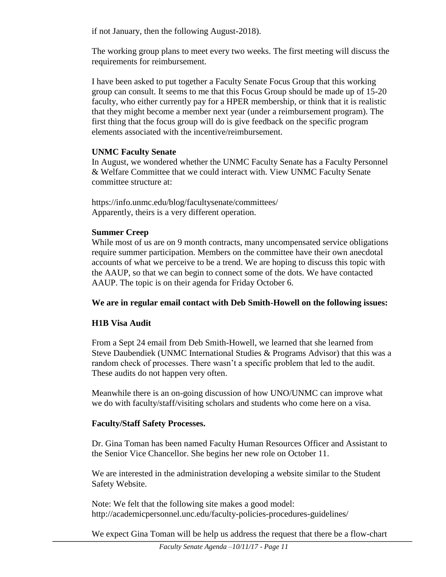if not January, then the following August-2018).

The working group plans to meet every two weeks. The first meeting will discuss the requirements for reimbursement.

I have been asked to put together a Faculty Senate Focus Group that this working group can consult. It seems to me that this Focus Group should be made up of 15-20 faculty, who either currently pay for a HPER membership, or think that it is realistic that they might become a member next year (under a reimbursement program). The first thing that the focus group will do is give feedback on the specific program elements associated with the incentive/reimbursement.

### **UNMC Faculty Senate**

In August, we wondered whether the UNMC Faculty Senate has a Faculty Personnel & Welfare Committee that we could interact with. View UNMC Faculty Senate committee structure at:

https://info.unmc.edu/blog/facultysenate/committees/ Apparently, theirs is a very different operation.

### **Summer Creep**

While most of us are on 9 month contracts, many uncompensated service obligations require summer participation. Members on the committee have their own anecdotal accounts of what we perceive to be a trend. We are hoping to discuss this topic with the AAUP, so that we can begin to connect some of the dots. We have contacted AAUP. The topic is on their agenda for Friday October 6.

#### **We are in regular email contact with Deb Smith-Howell on the following issues:**

# **H1B Visa Audit**

From a Sept 24 email from Deb Smith-Howell, we learned that she learned from Steve Daubendiek (UNMC International Studies & Programs Advisor) that this was a random check of processes. There wasn't a specific problem that led to the audit. These audits do not happen very often.

Meanwhile there is an on-going discussion of how UNO/UNMC can improve what we do with faculty/staff/visiting scholars and students who come here on a visa.

# **Faculty/Staff Safety Processes.**

Dr. Gina Toman has been named Faculty Human Resources Officer and Assistant to the Senior Vice Chancellor. She begins her new role on October 11.

We are interested in the administration developing a website similar to the Student Safety Website.

Note: We felt that the following site makes a good model: http://academicpersonnel.unc.edu/faculty-policies-procedures-guidelines/

We expect Gina Toman will be help us address the request that there be a flow-chart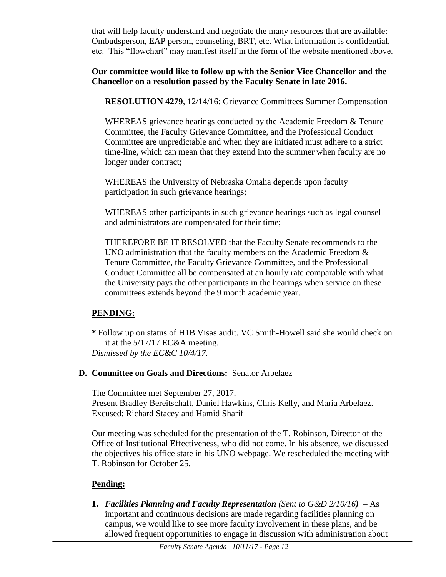that will help faculty understand and negotiate the many resources that are available: Ombudsperson, EAP person, counseling, BRT, etc. What information is confidential, etc. This "flowchart" may manifest itself in the form of the website mentioned above.

### **Our committee would like to follow up with the Senior Vice Chancellor and the Chancellor on a resolution passed by the Faculty Senate in late 2016.**

**RESOLUTION 4279**, 12/14/16: Grievance Committees Summer Compensation

WHEREAS grievance hearings conducted by the Academic Freedom & Tenure Committee, the Faculty Grievance Committee, and the Professional Conduct Committee are unpredictable and when they are initiated must adhere to a strict time-line, which can mean that they extend into the summer when faculty are no longer under contract;

WHEREAS the University of Nebraska Omaha depends upon faculty participation in such grievance hearings;

WHEREAS other participants in such grievance hearings such as legal counsel and administrators are compensated for their time;

THEREFORE BE IT RESOLVED that the Faculty Senate recommends to the UNO administration that the faculty members on the Academic Freedom & Tenure Committee, the Faculty Grievance Committee, and the Professional Conduct Committee all be compensated at an hourly rate comparable with what the University pays the other participants in the hearings when service on these committees extends beyond the 9 month academic year.

# **PENDING:**

**\*** Follow up on status of H1B Visas audit. VC Smith-Howell said she would check on it at the 5/17/17 EC&A meeting. *Dismissed by the EC&C 10/4/17.*

# **D. Committee on Goals and Directions:** Senator Arbelaez

The Committee met September 27, 2017. Present Bradley Bereitschaft, Daniel Hawkins, Chris Kelly, and Maria Arbelaez. Excused: Richard Stacey and Hamid Sharif

Our meeting was scheduled for the presentation of the T. Robinson, Director of the Office of Institutional Effectiveness, who did not come. In his absence, we discussed the objectives his office state in his UNO webpage. We rescheduled the meeting with T. Robinson for October 25.

# **Pending:**

**1.** *Facilities Planning and Faculty Representation (Sent to G&D 2/10/16)*– As important and continuous decisions are made regarding facilities planning on campus, we would like to see more faculty involvement in these plans, and be allowed frequent opportunities to engage in discussion with administration about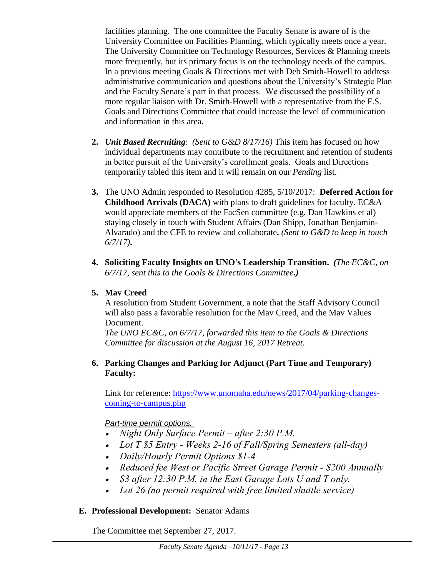facilities planning. The one committee the Faculty Senate is aware of is the University Committee on Facilities Planning, which typically meets once a year. The University Committee on Technology Resources, Services & Planning meets more frequently, but its primary focus is on the technology needs of the campus. In a previous meeting Goals & Directions met with Deb Smith-Howell to address administrative communication and questions about the University's Strategic Plan and the Faculty Senate's part in that process. We discussed the possibility of a more regular liaison with Dr. Smith-Howell with a representative from the F.S. Goals and Directions Committee that could increase the level of communication and information in this area**.**

- **2.** *Unit Based Recruiting*: *(Sent to G&D 8/17/16)* This item has focused on how individual departments may contribute to the recruitment and retention of students in better pursuit of the University's enrollment goals. Goals and Directions temporarily tabled this item and it will remain on our *Pending* list.
- **3.** The UNO Admin responded to Resolution 4285, 5/10/2017: **Deferred Action for Childhood Arrivals (DACA)** with plans to draft guidelines for faculty. EC&A would appreciate members of the FacSen committee (e.g. Dan Hawkins et al) staying closely in touch with Student Affairs (Dan Shipp, Jonathan Benjamin-Alvarado) and the CFE to review and collaborate**.** *(Sent to G&D to keep in touch 6/7/17)***.**
- **4. Soliciting Faculty Insights on UNO's Leadership Transition.** *(The EC&C, on 6/7/17, sent this to the Goals & Directions Committee.)*

#### **5. Mav Creed**

A resolution from Student Government, a note that the Staff Advisory Council will also pass a favorable resolution for the Mav Creed, and the Mav Values Document.

*The UNO EC&C, on 6/7/17, forwarded this item to the Goals & Directions Committee for discussion at the August 16, 2017 Retreat.*

### **6. Parking Changes and Parking for Adjunct (Part Time and Temporary) Faculty:**

Link for reference: [https://www.unomaha.edu/news/2017/04/parking-changes](https://www.unomaha.edu/news/2017/04/parking-changes-coming-to-campus.php)[coming-to-campus.php](https://www.unomaha.edu/news/2017/04/parking-changes-coming-to-campus.php)

# *Part-time permit options.*

- *Night Only Surface Permit – after 2:30 P.M.*
- *Lot T \$5 Entry - Weeks 2-16 of Fall/Spring Semesters (all-day)*
- *Daily/Hourly Permit Options \$1-4*
- *Reduced fee West or Pacific Street Garage Permit - \$200 Annually*
- *\$3 after 12:30 P.M. in the East Garage Lots U and T only.*
- *Lot 26 (no permit required with free limited shuttle service)*

# **E. Professional Development:** Senator Adams

The Committee met September 27, 2017.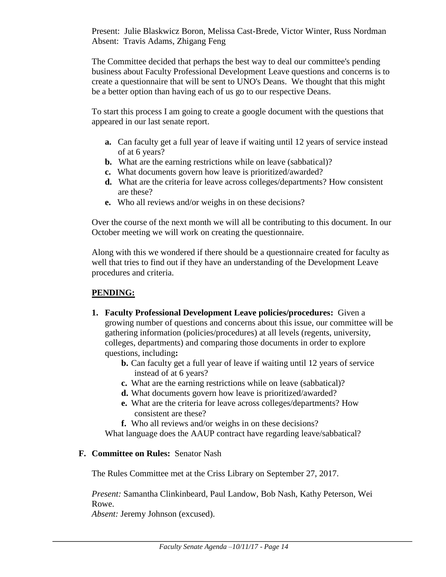Present: Julie Blaskwicz Boron, Melissa Cast-Brede, Victor Winter, Russ Nordman Absent: Travis Adams, Zhigang Feng

The Committee decided that perhaps the best way to deal our committee's pending business about Faculty Professional Development Leave questions and concerns is to create a questionnaire that will be sent to UNO's Deans. We thought that this might be a better option than having each of us go to our respective Deans.

To start this process I am going to create a google document with the questions that appeared in our last senate report.

- **a.** Can faculty get a full year of leave if waiting until 12 years of service instead of at 6 years?
- **b.** What are the earning restrictions while on leave (sabbatical)?
- **c.** What documents govern how leave is prioritized/awarded?
- **d.** What are the criteria for leave across colleges/departments? How consistent are these?
- **e.** Who all reviews and/or weighs in on these decisions?

Over the course of the next month we will all be contributing to this document. In our October meeting we will work on creating the questionnaire.

Along with this we wondered if there should be a questionnaire created for faculty as well that tries to find out if they have an understanding of the Development Leave procedures and criteria.

### **PENDING:**

- **1. Faculty Professional Development Leave policies/procedures:** Given a growing number of questions and concerns about this issue, our committee will be gathering information (policies/procedures) at all levels (regents, university, colleges, departments) and comparing those documents in order to explore questions, including**:** 
	- **b.** Can faculty get a full year of leave if waiting until 12 years of service instead of at 6 years?
	- **c.** What are the earning restrictions while on leave (sabbatical)?
	- **d.** What documents govern how leave is prioritized/awarded?
	- **e.** What are the criteria for leave across colleges/departments? How consistent are these?
	- **f.** Who all reviews and/or weighs in on these decisions?

What language does the AAUP contract have regarding leave/sabbatical?

#### **F. Committee on Rules:** Senator Nash

The Rules Committee met at the Criss Library on September 27, 2017.

*Present:* Samantha Clinkinbeard, Paul Landow, Bob Nash, Kathy Peterson, Wei Rowe.

*Absent:* Jeremy Johnson (excused).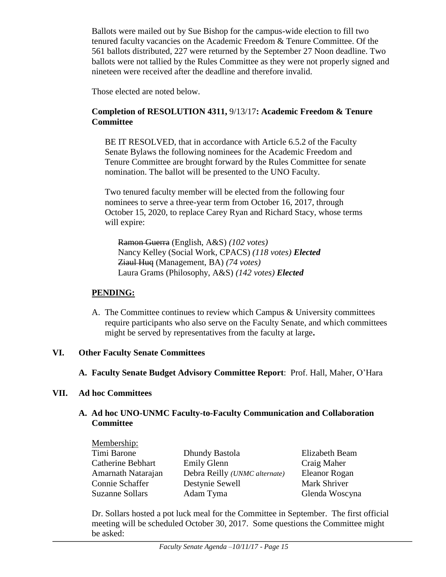Ballots were mailed out by Sue Bishop for the campus-wide election to fill two tenured faculty vacancies on the Academic Freedom & Tenure Committee. Of the 561 ballots distributed, 227 were returned by the September 27 Noon deadline. Two ballots were not tallied by the Rules Committee as they were not properly signed and nineteen were received after the deadline and therefore invalid.

Those elected are noted below.

### **Completion of RESOLUTION 4311,** 9/13/17**: Academic Freedom & Tenure Committee**

BE IT RESOLVED, that in accordance with Article 6.5.2 of the Faculty Senate Bylaws the following nominees for the Academic Freedom and Tenure Committee are brought forward by the Rules Committee for senate nomination. The ballot will be presented to the UNO Faculty.

Two tenured faculty member will be elected from the following four nominees to serve a three-year term from October 16, 2017, through October 15, 2020, to replace Carey Ryan and Richard Stacy, whose terms will expire:

Ramon Guerra (English, A&S) *(102 votes)* Nancy Kelley (Social Work, CPACS) *(118 votes) Elected* Ziaul Huq (Management, BA) *(74 votes)*  Laura Grams (Philosophy, A&S) *(142 votes) Elected*

# **PENDING:**

A. The Committee continues to review which Campus & University committees require participants who also serve on the Faculty Senate, and which committees might be served by representatives from the faculty at large**.** 

# **VI. Other Faculty Senate Committees**

**A. Faculty Senate Budget Advisory Committee Report**: Prof. Hall, Maher, O'Hara

# **VII. Ad hoc Committees**

Membership:

#### **A. Ad hoc UNO-UNMC Faculty-to-Faculty Communication and Collaboration Committee**

| Membership:              |                                       |                |
|--------------------------|---------------------------------------|----------------|
| Timi Barone              | Dhundy Bastola                        | Elizabeth Beam |
| <b>Catherine Bebhart</b> | <b>Emily Glenn</b>                    | Craig Maher    |
| Amarnath Natarajan       | Debra Reilly ( <i>UNMC</i> alternate) | Eleanor Rogan  |
| Connie Schaffer          | Destynie Sewell                       | Mark Shriver   |
| <b>Suzanne Sollars</b>   | Adam Tyma                             | Glenda Woscyna |

Dr. Sollars hosted a pot luck meal for the Committee in September. The first official meeting will be scheduled October 30, 2017. Some questions the Committee might be asked: